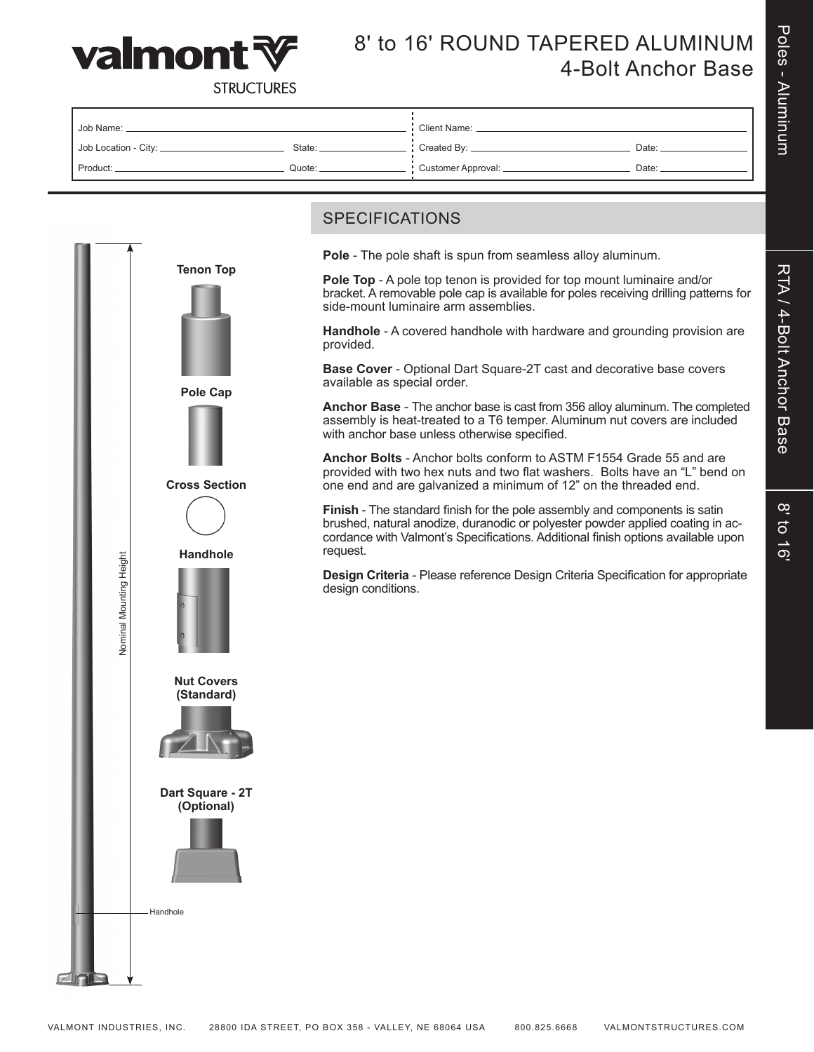





# 8' to 16' ROUND TAPERED ALUMINUM 4-Bolt Anchor Base

**STRUCTURES** 

| Job Name:              |        | Client Name:         |       |  |  |  |  |
|------------------------|--------|----------------------|-------|--|--|--|--|
| Job Location - City: _ | State: | Created By: ____     | Date: |  |  |  |  |
| Product:               | Quote: | : Customer Approval: | Date: |  |  |  |  |